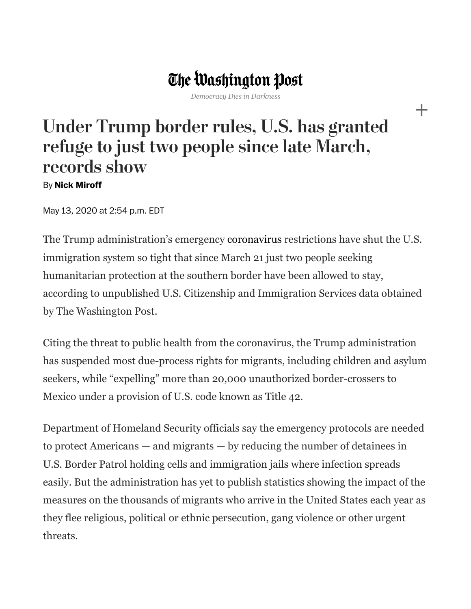## The Washington Post

*Democracy Dies in Darkness*

## Under Trump border rules, U.S. has granted refuge to just two people since late March, records show

## By **Nick [Miroff](https://www.washingtonpost.com/people/nick-miroff/)**

May 13, 2020 at 2:54 p.m. EDT

The Trump administration's emergency [coronavirus](https://www.washingtonpost.com/health/2020/02/28/what-you-need-know-about-coronavirus/?tid=lk_inline_manual_2&itid=lk_inline_manual_2) restrictions have shut the U.S. immigration system so tight that since March 21 just two people seeking humanitarian protection at the southern border have been allowed to stay, according to unpublished U.S. Citizenship and Immigration Services data obtained by The Washington Post.

Citing the threat to public health from the coronavirus, the Trump administration has suspended most due-process rights for migrants, including children and asylum seekers, while "expelling" more than 20,000 unauthorized border-crossers to Mexico under a provision of U.S. code known as Title 42.

Department of Homeland Security officials say the emergency protocols are needed to protect Americans — and migrants — by reducing the number of detainees in U.S. Border Patrol holding cells and immigration jails where infection spreads easily. But the administration has yet to publish statistics showing the impact of the measures on the thousands of migrants who arrive in the United States each year as they flee religious, political or ethnic persecution, gang violence or other urgent threats.

┿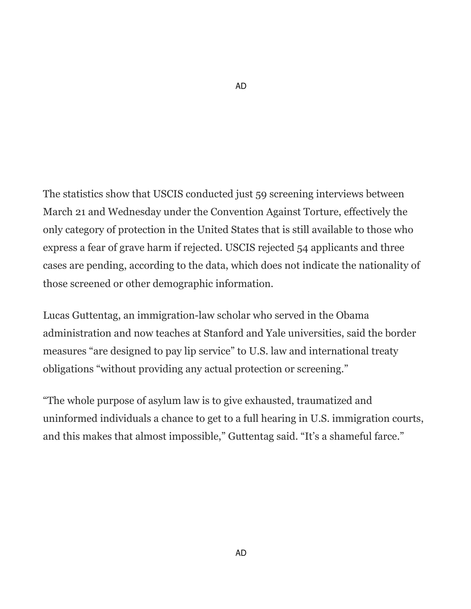The statistics show that USCIS conducted just 59 screening interviews between March 21 and Wednesday under the Convention Against Torture, effectively the only category of protection in the United States that is still available to those who express a fear of grave harm if rejected. USCIS rejected 54 applicants and three cases are pending, according to the data, which does not indicate the nationality of those screened or other demographic information.

Lucas Guttentag, an immigration-law scholar who served in the Obama administration and now teaches at Stanford and Yale universities, said the border measures "are designed to pay lip service" to U.S. law and international treaty obligations "without providing any actual protection or screening."

"The whole purpose of asylum law is to give exhausted, traumatized and uninformed individuals a chance to get to a full hearing in U.S. immigration courts, and this makes that almost impossible," Guttentag said. "It's a shameful farce."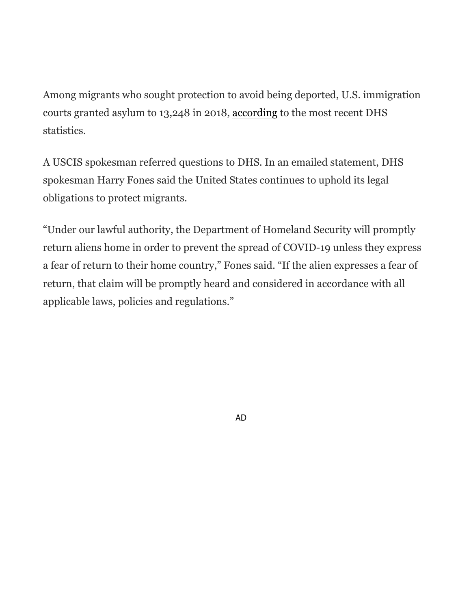Among migrants who sought protection to avoid being deported, U.S. immigration courts granted asylum to 13,248 in 2018, [according](https://www.dhs.gov/immigration-statistics/yearbook/2018/table16) to the most recent DHS statistics.

A USCIS spokesman referred questions to DHS. In an emailed statement, DHS spokesman Harry Fones said the United States continues to uphold its legal obligations to protect migrants.

"Under our lawful authority, the Department of Homeland Security will promptly return aliens home in order to prevent the spread of COVID-19 unless they express a fear of return to their home country," Fones said. "If the alien expresses a fear of return, that claim will be promptly heard and considered in accordance with all applicable laws, policies and regulations."

AD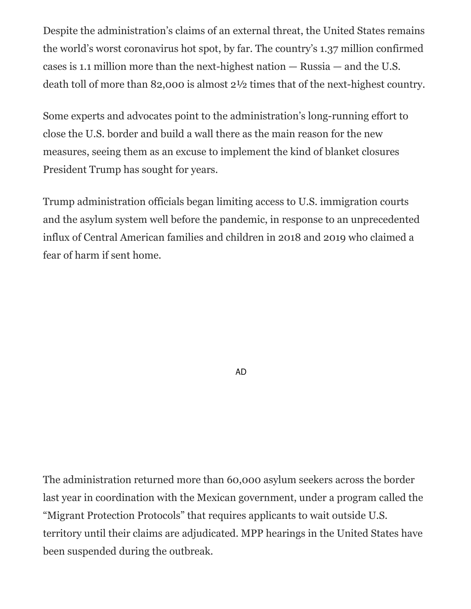Despite the administration's claims of an external threat, the United States remains the world's worst coronavirus hot spot, by far. The country's 1.37 million confirmed cases is 1.1 million more than the next-highest nation — Russia — and the U.S. death toll of more than 82,000 is almost 2½ times that of the next-highest country.

Some experts and advocates point to the administration's long-running effort to close the U.S. border and build a wall there as the main reason for the new measures, seeing them as an excuse to implement the kind of blanket closures President Trump has sought for years.

Trump administration officials began limiting access to U.S. immigration courts and the asylum system well before the pandemic, in response to an unprecedented influx of Central American families and children in 2018 and 2019 who claimed a fear of harm if sent home.

AD

The administration returned more than 60,000 asylum seekers across the border last year in coordination with the Mexican government, under a program called the "Migrant Protection Protocols" that requires applicants to wait outside U.S. territory until their claims are adjudicated. MPP hearings in the United States have been suspended during the outbreak.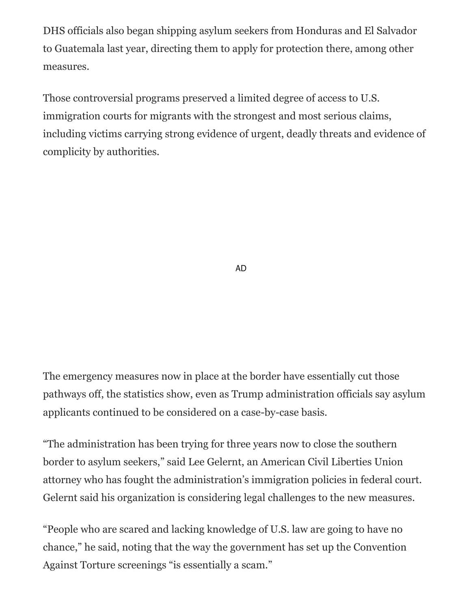DHS officials also began shipping asylum seekers from Honduras and El Salvador to Guatemala last year, directing them to apply for protection there, among other measures.

Those controversial programs preserved a limited degree of access to U.S. immigration courts for migrants with the strongest and most serious claims, including victims carrying strong evidence of urgent, deadly threats and evidence of complicity by authorities.

AD

The emergency measures now in place at the border have essentially cut those pathways off, the statistics show, even as Trump administration officials say asylum applicants continued to be considered on a case-by-case basis.

"The administration has been trying for three years now to close the southern border to asylum seekers," said Lee Gelernt, an American Civil Liberties Union attorney who has fought the administration's immigration policies in federal court. Gelernt said his organization is considering legal challenges to the new measures.

"People who are scared and lacking knowledge of U.S. law are going to have no chance," he said, noting that the way the government has set up the Convention Against Torture screenings "is essentially a scam."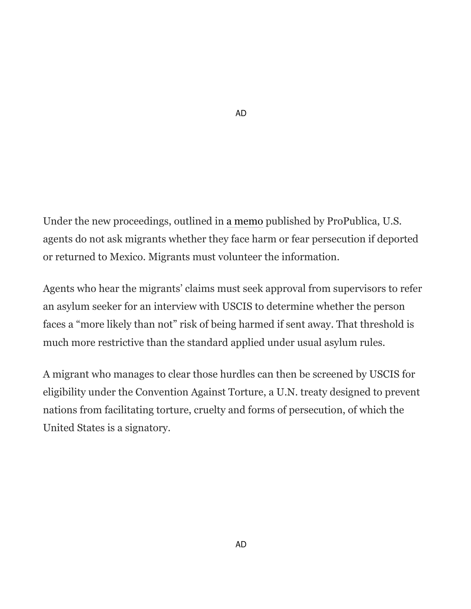Under the new proceedings, outlined in [a memo](https://www.propublica.org/article/leaked-border-patrol-memo-tells-agents-to-send-migrants-back-immediately-ignoring-asylum-law) published by ProPublica, U.S. agents do not ask migrants whether they face harm or fear persecution if deported or returned to Mexico. Migrants must volunteer the information.

AD

Agents who hear the migrants' claims must seek approval from supervisors to refer an asylum seeker for an interview with USCIS to determine whether the person faces a "more likely than not" risk of being harmed if sent away. That threshold is much more restrictive than the standard applied under usual asylum rules.

A migrant who manages to clear those hurdles can then be screened by USCIS for eligibility under the Convention Against Torture, a U.N. treaty designed to prevent nations from facilitating torture, cruelty and forms of persecution, of which the United States is a signatory.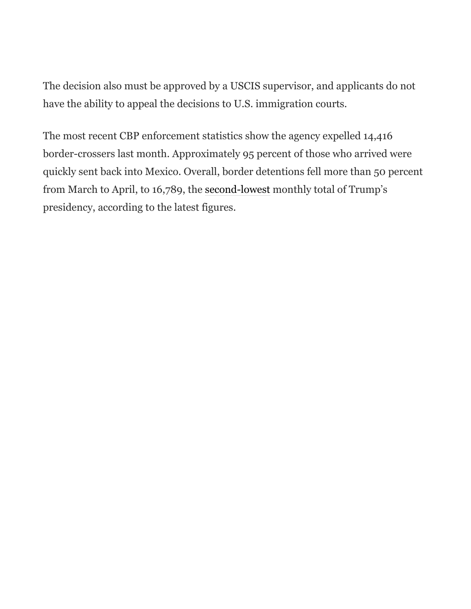The decision also must be approved by a USCIS supervisor, and applicants do not have the ability to appeal the decisions to U.S. immigration courts.

The most recent CBP enforcement statistics show the agency expelled 14,416 border-crossers last month. Approximately 95 percent of those who arrived were quickly sent back into Mexico. Overall, border detentions fell more than 50 percent from March to April, to 16,789, the [second-lowest](https://www.cbp.gov/newsroom/stats/sw-border-migration) monthly total of Trump's presidency, according to the latest figures.